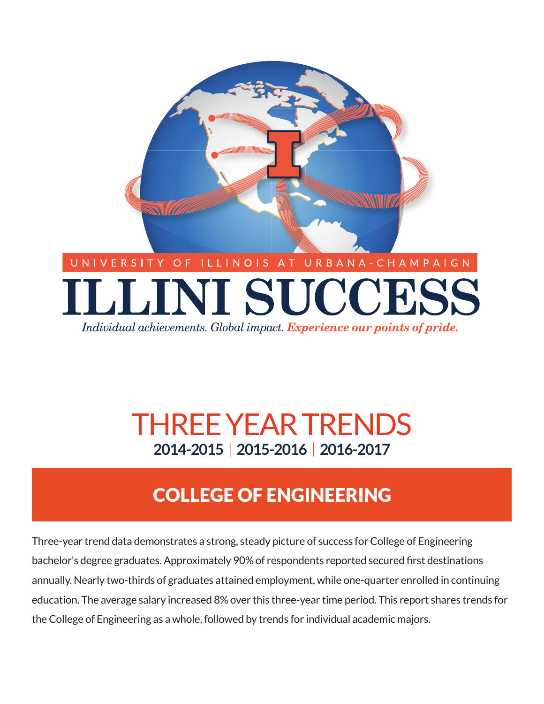

Individual achievements. Global impact. Experience our points of pride.

# **2014-2015** | **2015-2016** | **2016-2017** THREE YEAR TRENDS

# COLLEGE OF ENGINEERING

Three-year trend data demonstrates a strong, steady picture of success for College of Engineering bachelor's degree graduates. Approximately 90% of respondents reported secured first destinations annually. Nearly two-thirds of graduates attained employment, while one-quarter enrolled in continuing education. The average salary increased 8% over this three-year time period. This report shares trends for the College of Engineering as a whole, followed by trends for individual academic majors.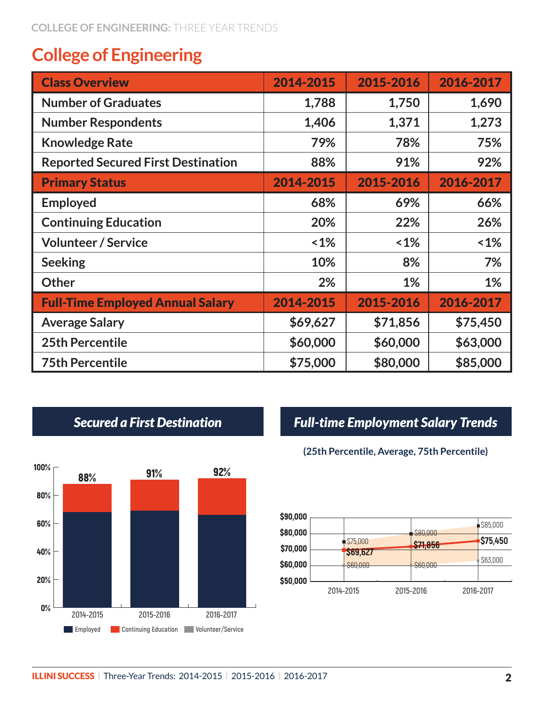# **College of Engineering**

| <b>Class Overview</b>                     | 2014-2015 | 2015-2016 | 2016-2017 |
|-------------------------------------------|-----------|-----------|-----------|
| <b>Number of Graduates</b>                | 1,788     | 1,750     | 1,690     |
| <b>Number Respondents</b>                 | 1,406     | 1,371     | 1,273     |
| <b>Knowledge Rate</b>                     | 79%       | 78%       | 75%       |
| <b>Reported Secured First Destination</b> | 88%       | 91%       | 92%       |
| <b>Primary Status</b>                     | 2014-2015 | 2015-2016 | 2016-2017 |
| <b>Employed</b>                           | 68%       | 69%       | 66%       |
| <b>Continuing Education</b>               | 20%       | 22%       | 26%       |
| <b>Volunteer / Service</b>                | $1\%$     | $1\%$     | $~1\%$    |
| <b>Seeking</b>                            | 10%       | 8%        | 7%        |
| <b>Other</b>                              | 2%        | $1\%$     | 1%        |
| <b>Full-Time Employed Annual Salary</b>   | 2014-2015 | 2015-2016 | 2016-2017 |
| <b>Average Salary</b>                     | \$69,627  | \$71,856  | \$75,450  |
| <b>25th Percentile</b>                    | \$60,000  | \$60,000  | \$63,000  |
| <b>75th Percentile</b>                    | \$75,000  | \$80,000  | \$85,000  |



## *Secured a First Destination Full-time Employment Salary Trends*

### **(25th Percentile, Average, 75th Percentile)**

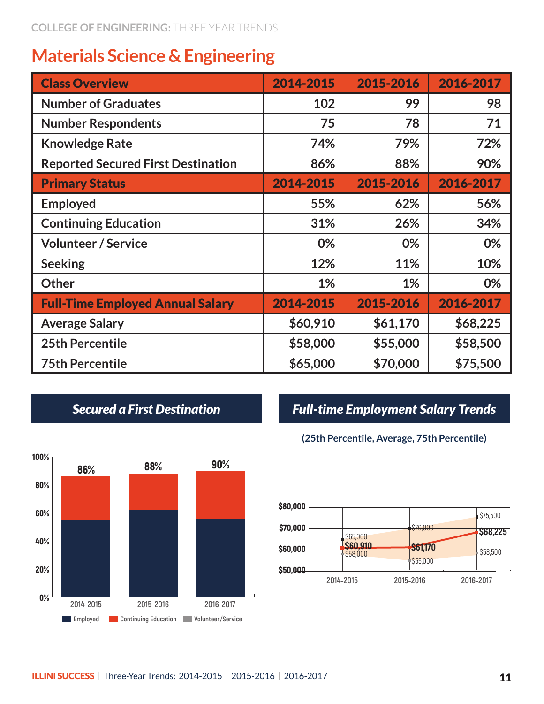# **Materials Science & Engineering**

| <b>Class Overview</b>                     | 2014-2015 | 2015-2016 | 2016-2017 |
|-------------------------------------------|-----------|-----------|-----------|
| <b>Number of Graduates</b>                | 102       | 99        | 98        |
| <b>Number Respondents</b>                 | 75        | 78        | 71        |
| <b>Knowledge Rate</b>                     | 74%       | 79%       | 72%       |
| <b>Reported Secured First Destination</b> | 86%       | 88%       | 90%       |
| <b>Primary Status</b>                     | 2014-2015 | 2015-2016 | 2016-2017 |
| <b>Employed</b>                           | 55%       | 62%       | 56%       |
| <b>Continuing Education</b>               | 31%       | 26%       | 34%       |
| <b>Volunteer / Service</b>                | 0%        | 0%        | 0%        |
| <b>Seeking</b>                            | 12%       | 11%       | 10%       |
| <b>Other</b>                              | $1\%$     | $1\%$     | 0%        |
| <b>Full-Time Employed Annual Salary</b>   | 2014-2015 | 2015-2016 | 2016-2017 |
| <b>Average Salary</b>                     | \$60,910  | \$61,170  | \$68,225  |
| <b>25th Percentile</b>                    | \$58,000  | \$55,000  | \$58,500  |
| <b>75th Percentile</b>                    | \$65,000  | \$70,000  | \$75,500  |



## *Secured a First Destination Full-time Employment Salary Trends*

### **(25th Percentile, Average, 75th Percentile)**

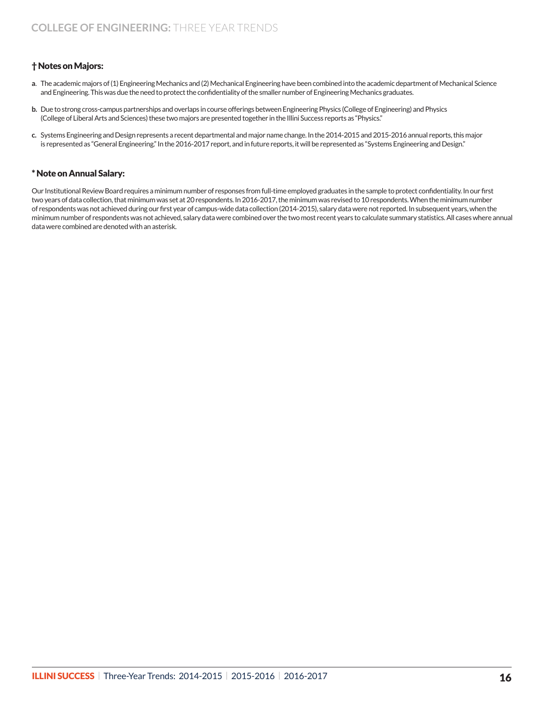### † Notes on Majors:

- **a**. The academic majors of (1) Engineering Mechanics and (2) Mechanical Engineering have been combined into the academic department of Mechanical Science and Engineering. This was due the need to protect the confidentiality of the smaller number of Engineering Mechanics graduates.
- **b.** Due to strong cross-campus partnerships and overlaps in course offerings between Engineering Physics (College of Engineering) and Physics (College of Liberal Arts and Sciences) these two majors are presented together in the Illini Success reports as "Physics."
- **c.** Systems Engineering and Design represents a recent departmental and major name change. In the 2014-2015 and 2015-2016 annual reports, this major is represented as "General Engineering." In the 2016-2017 report, and in future reports, it will be represented as "Systems Engineering and Design."

### \* Note on Annual Salary:

Our Institutional Review Board requires a minimum number of responses from full-time employed graduates in the sample to protect confidentiality. In our first two years of data collection, that minimum was set at 20 respondents. In 2016-2017, the minimum was revised to 10 respondents. When the minimum number of respondents was not achieved during our first year of campus-wide data collection (2014-2015), salary data were not reported. In subsequent years, when the minimum number of respondents was not achieved, salary data were combined over the two most recent years to calculate summary statistics. All cases where annual data were combined are denoted with an asterisk.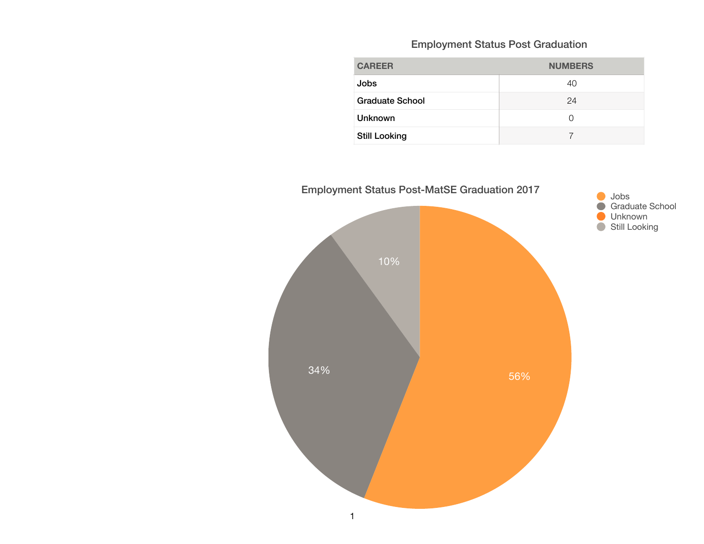### Employment Status Post Graduation

| <b>CAREER</b>          | <b>NUMBERS</b> |
|------------------------|----------------|
| Jobs                   | 40             |
| <b>Graduate School</b> | 24             |
| <b>Unknown</b>         | O              |
| <b>Still Looking</b>   |                |